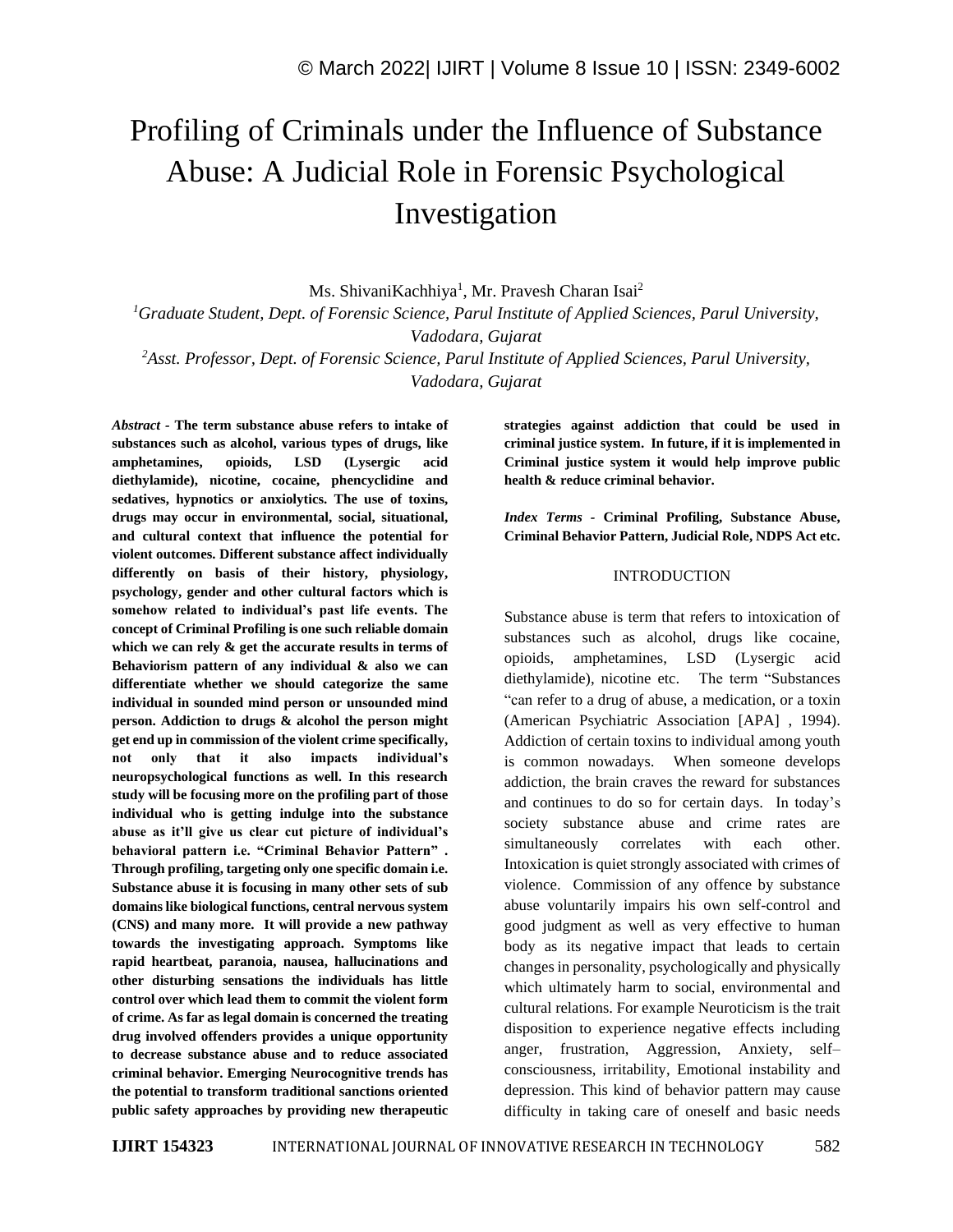# Profiling of Criminals under the Influence of Substance Abuse: A Judicial Role in Forensic Psychological Investigation

Ms. ShivaniKachhiya<sup>1</sup>, Mr. Pravesh Charan Isai<sup>2</sup>

*<sup>1</sup>Graduate Student, Dept. of Forensic Science, Parul Institute of Applied Sciences, Parul University, Vadodara, Gujarat*

*<sup>2</sup>Asst. Professor, Dept. of Forensic Science, Parul Institute of Applied Sciences, Parul University, Vadodara, Gujarat*

*Abstract -* **The term substance abuse refers to intake of substances such as alcohol, various types of drugs, like amphetamines, opioids, LSD (Lysergic acid diethylamide), nicotine, cocaine, phencyclidine and sedatives, hypnotics or anxiolytics. The use of toxins, drugs may occur in environmental, social, situational, and cultural context that influence the potential for violent outcomes. Different substance affect individually differently on basis of their history, physiology, psychology, gender and other cultural factors which is somehow related to individual's past life events. The concept of Criminal Profiling is one such reliable domain which we can rely & get the accurate results in terms of Behaviorism pattern of any individual & also we can differentiate whether we should categorize the same individual in sounded mind person or unsounded mind person. Addiction to drugs & alcohol the person might get end up in commission of the violent crime specifically, not only that it also impacts individual's neuropsychological functions as well. In this research study will be focusing more on the profiling part of those individual who is getting indulge into the substance abuse as it'll give us clear cut picture of individual's behavioral pattern i.e. "Criminal Behavior Pattern" . Through profiling, targeting only one specific domain i.e. Substance abuse it is focusing in many other sets of sub domains like biological functions, central nervous system (CNS) and many more. It will provide a new pathway towards the investigating approach. Symptoms like rapid heartbeat, paranoia, nausea, hallucinations and other disturbing sensations the individuals has little control over which lead them to commit the violent form of crime. As far as legal domain is concerned the treating drug involved offenders provides a unique opportunity to decrease substance abuse and to reduce associated criminal behavior. Emerging Neurocognitive trends has the potential to transform traditional sanctions oriented public safety approaches by providing new therapeutic** 

**strategies against addiction that could be used in criminal justice system. In future, if it is implemented in Criminal justice system it would help improve public health & reduce criminal behavior.**

*Index Terms -* **Criminal Profiling, Substance Abuse, Criminal Behavior Pattern, Judicial Role, NDPS Act etc.**

#### INTRODUCTION

Substance abuse is term that refers to intoxication of substances such as alcohol, drugs like cocaine, opioids, amphetamines, LSD (Lysergic acid diethylamide), nicotine etc. The term "Substances "can refer to a drug of abuse, a medication, or a toxin (American Psychiatric Association [APA] , 1994). Addiction of certain toxins to individual among youth is common nowadays. When someone develops addiction, the brain craves the reward for substances and continues to do so for certain days. In today's society substance abuse and crime rates are simultaneously correlates with each other. Intoxication is quiet strongly associated with crimes of violence. Commission of any offence by substance abuse voluntarily impairs his own self-control and good judgment as well as very effective to human body as its negative impact that leads to certain changes in personality, psychologically and physically which ultimately harm to social, environmental and cultural relations. For example Neuroticism is the trait disposition to experience negative effects including anger, frustration, Aggression, Anxiety, self– consciousness, irritability, Emotional instability and depression. This kind of behavior pattern may cause difficulty in taking care of oneself and basic needs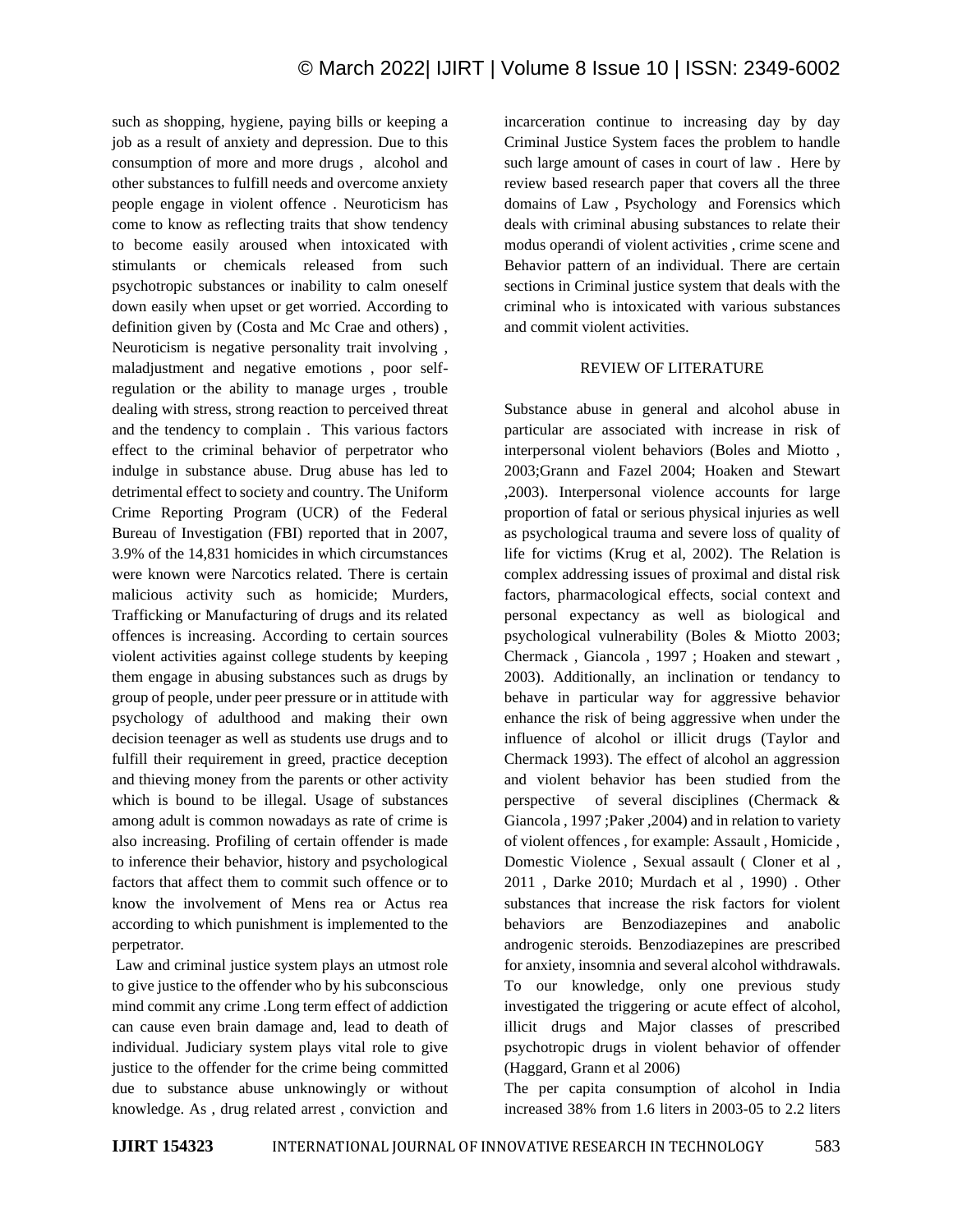such as shopping, hygiene, paying bills or keeping a job as a result of anxiety and depression. Due to this consumption of more and more drugs , alcohol and other substances to fulfill needs and overcome anxiety people engage in violent offence . Neuroticism has come to know as reflecting traits that show tendency to become easily aroused when intoxicated with stimulants or chemicals released from such psychotropic substances or inability to calm oneself down easily when upset or get worried. According to definition given by (Costa and Mc Crae and others) , Neuroticism is negative personality trait involving , maladjustment and negative emotions , poor selfregulation or the ability to manage urges , trouble dealing with stress, strong reaction to perceived threat and the tendency to complain . This various factors effect to the criminal behavior of perpetrator who indulge in substance abuse. Drug abuse has led to detrimental effect to society and country. The Uniform Crime Reporting Program (UCR) of the Federal Bureau of Investigation (FBI) reported that in 2007, 3.9% of the 14,831 homicides in which circumstances were known were Narcotics related. There is certain malicious activity such as homicide; Murders, Trafficking or Manufacturing of drugs and its related offences is increasing. According to certain sources violent activities against college students by keeping them engage in abusing substances such as drugs by group of people, under peer pressure or in attitude with psychology of adulthood and making their own decision teenager as well as students use drugs and to fulfill their requirement in greed, practice deception and thieving money from the parents or other activity which is bound to be illegal. Usage of substances among adult is common nowadays as rate of crime is also increasing. Profiling of certain offender is made to inference their behavior, history and psychological factors that affect them to commit such offence or to know the involvement of Mens rea or Actus rea according to which punishment is implemented to the perpetrator.

Law and criminal justice system plays an utmost role to give justice to the offender who by his subconscious mind commit any crime .Long term effect of addiction can cause even brain damage and, lead to death of individual. Judiciary system plays vital role to give justice to the offender for the crime being committed due to substance abuse unknowingly or without knowledge. As , drug related arrest , conviction and incarceration continue to increasing day by day Criminal Justice System faces the problem to handle such large amount of cases in court of law . Here by review based research paper that covers all the three domains of Law , Psychology and Forensics which deals with criminal abusing substances to relate their modus operandi of violent activities , crime scene and Behavior pattern of an individual. There are certain sections in Criminal justice system that deals with the criminal who is intoxicated with various substances and commit violent activities.

#### REVIEW OF LITERATURE

Substance abuse in general and alcohol abuse in particular are associated with increase in risk of interpersonal violent behaviors (Boles and Miotto , 2003;Grann and Fazel 2004; Hoaken and Stewart ,2003). Interpersonal violence accounts for large proportion of fatal or serious physical injuries as well as psychological trauma and severe loss of quality of life for victims (Krug et al, 2002). The Relation is complex addressing issues of proximal and distal risk factors, pharmacological effects, social context and personal expectancy as well as biological and psychological vulnerability (Boles & Miotto 2003; Chermack , Giancola , 1997 ; Hoaken and stewart , 2003). Additionally, an inclination or tendancy to behave in particular way for aggressive behavior enhance the risk of being aggressive when under the influence of alcohol or illicit drugs (Taylor and Chermack 1993). The effect of alcohol an aggression and violent behavior has been studied from the perspective of several disciplines (Chermack & Giancola , 1997 ;Paker ,2004) and in relation to variety of violent offences , for example: Assault , Homicide , Domestic Violence , Sexual assault ( Cloner et al , 2011 , Darke 2010; Murdach et al , 1990) . Other substances that increase the risk factors for violent behaviors are Benzodiazepines and anabolic androgenic steroids. Benzodiazepines are prescribed for anxiety, insomnia and several alcohol withdrawals. To our knowledge, only one previous study investigated the triggering or acute effect of alcohol, illicit drugs and Major classes of prescribed psychotropic drugs in violent behavior of offender (Haggard, Grann et al 2006)

The per capita consumption of alcohol in India increased 38% from 1.6 liters in 2003-05 to 2.2 liters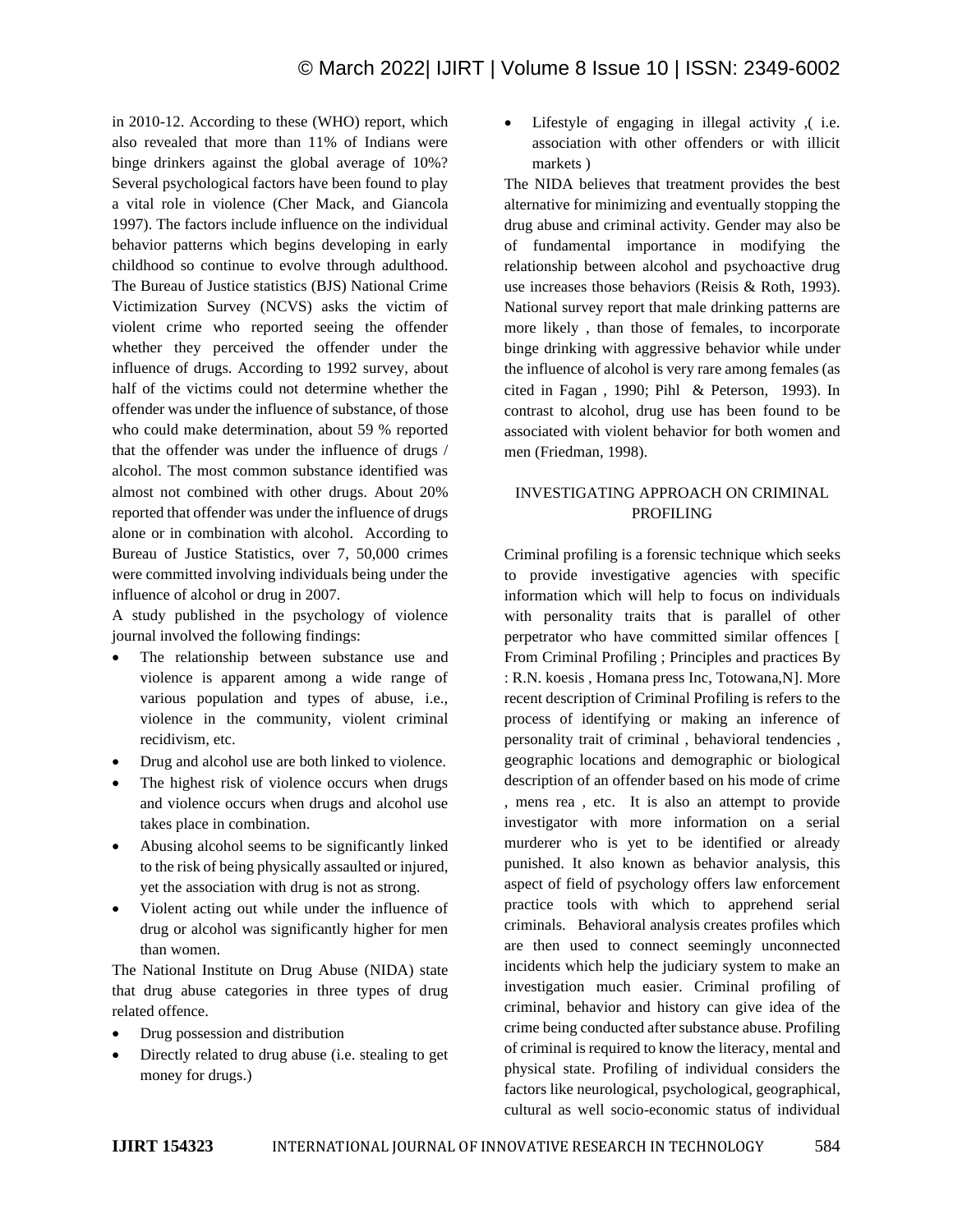in 2010-12. According to these (WHO) report, which also revealed that more than 11% of Indians were binge drinkers against the global average of 10%? Several psychological factors have been found to play a vital role in violence (Cher Mack, and Giancola 1997). The factors include influence on the individual behavior patterns which begins developing in early childhood so continue to evolve through adulthood. The Bureau of Justice statistics (BJS) National Crime Victimization Survey (NCVS) asks the victim of violent crime who reported seeing the offender whether they perceived the offender under the influence of drugs. According to 1992 survey, about half of the victims could not determine whether the offender was under the influence of substance, of those who could make determination, about 59 % reported that the offender was under the influence of drugs / alcohol. The most common substance identified was almost not combined with other drugs. About 20% reported that offender was under the influence of drugs alone or in combination with alcohol. According to Bureau of Justice Statistics, over 7, 50,000 crimes were committed involving individuals being under the influence of alcohol or drug in 2007.

A study published in the psychology of violence journal involved the following findings:

- The relationship between substance use and violence is apparent among a wide range of various population and types of abuse, i.e., violence in the community, violent criminal recidivism, etc.
- Drug and alcohol use are both linked to violence.
- The highest risk of violence occurs when drugs and violence occurs when drugs and alcohol use takes place in combination.
- Abusing alcohol seems to be significantly linked to the risk of being physically assaulted or injured, yet the association with drug is not as strong.
- Violent acting out while under the influence of drug or alcohol was significantly higher for men than women.

The National Institute on Drug Abuse (NIDA) state that drug abuse categories in three types of drug related offence.

- Drug possession and distribution
- Directly related to drug abuse (i.e. stealing to get money for drugs.)

• Lifestyle of engaging in illegal activity ,( i.e. association with other offenders or with illicit markets )

The NIDA believes that treatment provides the best alternative for minimizing and eventually stopping the drug abuse and criminal activity. Gender may also be of fundamental importance in modifying the relationship between alcohol and psychoactive drug use increases those behaviors (Reisis & Roth, 1993). National survey report that male drinking patterns are more likely , than those of females, to incorporate binge drinking with aggressive behavior while under the influence of alcohol is very rare among females (as cited in Fagan , 1990; Pihl & Peterson, 1993). In contrast to alcohol, drug use has been found to be associated with violent behavior for both women and men (Friedman, 1998).

# INVESTIGATING APPROACH ON CRIMINAL PROFILING

Criminal profiling is a forensic technique which seeks to provide investigative agencies with specific information which will help to focus on individuals with personality traits that is parallel of other perpetrator who have committed similar offences [ From Criminal Profiling ; Principles and practices By : R.N. koesis , Homana press Inc, Totowana,N]. More recent description of Criminal Profiling is refers to the process of identifying or making an inference of personality trait of criminal , behavioral tendencies , geographic locations and demographic or biological description of an offender based on his mode of crime , mens rea , etc. It is also an attempt to provide investigator with more information on a serial murderer who is yet to be identified or already punished. It also known as behavior analysis, this aspect of field of psychology offers law enforcement practice tools with which to apprehend serial criminals. Behavioral analysis creates profiles which are then used to connect seemingly unconnected incidents which help the judiciary system to make an investigation much easier. Criminal profiling of criminal, behavior and history can give idea of the crime being conducted after substance abuse. Profiling of criminal is required to know the literacy, mental and physical state. Profiling of individual considers the factors like neurological, psychological, geographical, cultural as well socio-economic status of individual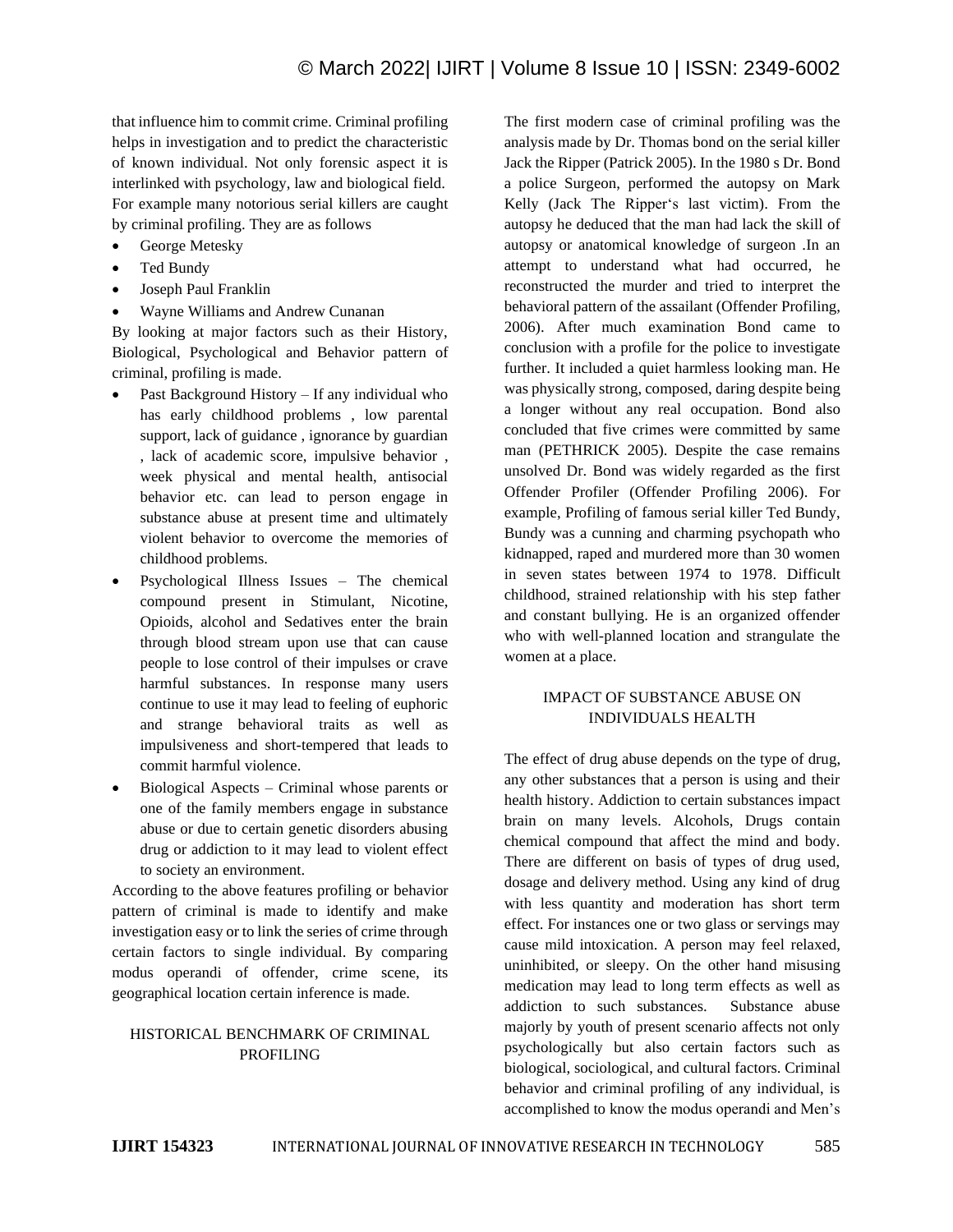that influence him to commit crime. Criminal profiling helps in investigation and to predict the characteristic of known individual. Not only forensic aspect it is interlinked with psychology, law and biological field. For example many notorious serial killers are caught by criminal profiling. They are as follows

- George Metesky
- Ted Bundy
- Joseph Paul Franklin
- Wayne Williams and Andrew Cunanan

By looking at major factors such as their History, Biological, Psychological and Behavior pattern of criminal, profiling is made.

- Past Background History If any individual who has early childhood problems , low parental support, lack of guidance , ignorance by guardian , lack of academic score, impulsive behavior , week physical and mental health, antisocial behavior etc. can lead to person engage in substance abuse at present time and ultimately violent behavior to overcome the memories of childhood problems.
- Psychological Illness Issues The chemical compound present in Stimulant, Nicotine, Opioids, alcohol and Sedatives enter the brain through blood stream upon use that can cause people to lose control of their impulses or crave harmful substances. In response many users continue to use it may lead to feeling of euphoric and strange behavioral traits as well as impulsiveness and short-tempered that leads to commit harmful violence.
- Biological Aspects Criminal whose parents or one of the family members engage in substance abuse or due to certain genetic disorders abusing drug or addiction to it may lead to violent effect to society an environment.

According to the above features profiling or behavior pattern of criminal is made to identify and make investigation easy or to link the series of crime through certain factors to single individual. By comparing modus operandi of offender, crime scene, its geographical location certain inference is made.

## HISTORICAL BENCHMARK OF CRIMINAL PROFILING

The first modern case of criminal profiling was the analysis made by Dr. Thomas bond on the serial killer Jack the Ripper (Patrick 2005). In the 1980 s Dr. Bond a police Surgeon, performed the autopsy on Mark Kelly (Jack The Ripper's last victim). From the autopsy he deduced that the man had lack the skill of autopsy or anatomical knowledge of surgeon .In an attempt to understand what had occurred, he reconstructed the murder and tried to interpret the behavioral pattern of the assailant (Offender Profiling, 2006). After much examination Bond came to conclusion with a profile for the police to investigate further. It included a quiet harmless looking man. He was physically strong, composed, daring despite being a longer without any real occupation. Bond also concluded that five crimes were committed by same man (PETHRICK 2005). Despite the case remains unsolved Dr. Bond was widely regarded as the first Offender Profiler (Offender Profiling 2006). For example, Profiling of famous serial killer Ted Bundy, Bundy was a cunning and charming psychopath who kidnapped, raped and murdered more than 30 women in seven states between 1974 to 1978. Difficult childhood, strained relationship with his step father and constant bullying. He is an organized offender who with well-planned location and strangulate the women at a place.

# IMPACT OF SUBSTANCE ABUSE ON INDIVIDUALS HEALTH

The effect of drug abuse depends on the type of drug, any other substances that a person is using and their health history. Addiction to certain substances impact brain on many levels. Alcohols, Drugs contain chemical compound that affect the mind and body. There are different on basis of types of drug used, dosage and delivery method. Using any kind of drug with less quantity and moderation has short term effect. For instances one or two glass or servings may cause mild intoxication. A person may feel relaxed, uninhibited, or sleepy. On the other hand misusing medication may lead to long term effects as well as addiction to such substances. Substance abuse majorly by youth of present scenario affects not only psychologically but also certain factors such as biological, sociological, and cultural factors. Criminal behavior and criminal profiling of any individual, is accomplished to know the modus operandi and Men's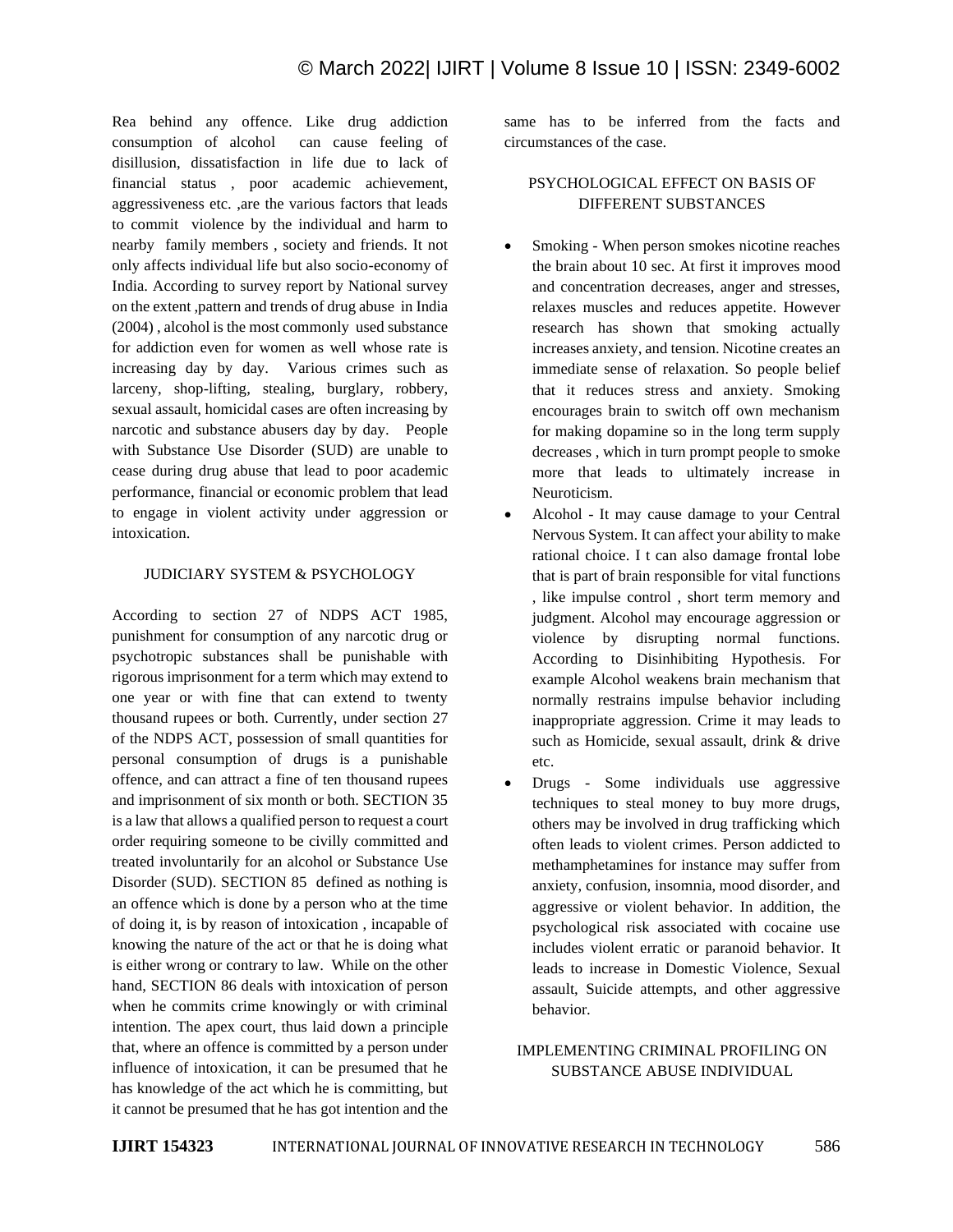Rea behind any offence. Like drug addiction consumption of alcohol can cause feeling of disillusion, dissatisfaction in life due to lack of financial status , poor academic achievement, aggressiveness etc. ,are the various factors that leads to commit violence by the individual and harm to nearby family members , society and friends. It not only affects individual life but also socio-economy of India. According to survey report by National survey on the extent ,pattern and trends of drug abuse in India (2004) , alcohol is the most commonly used substance for addiction even for women as well whose rate is increasing day by day. Various crimes such as larceny, shop-lifting, stealing, burglary, robbery, sexual assault, homicidal cases are often increasing by narcotic and substance abusers day by day. People with Substance Use Disorder (SUD) are unable to cease during drug abuse that lead to poor academic performance, financial or economic problem that lead to engage in violent activity under aggression or intoxication.

## JUDICIARY SYSTEM & PSYCHOLOGY

According to section 27 of NDPS ACT 1985, punishment for consumption of any narcotic drug or psychotropic substances shall be punishable with rigorous imprisonment for a term which may extend to one year or with fine that can extend to twenty thousand rupees or both. Currently, under section 27 of the NDPS ACT, possession of small quantities for personal consumption of drugs is a punishable offence, and can attract a fine of ten thousand rupees and imprisonment of six month or both. SECTION 35 is a law that allows a qualified person to request a court order requiring someone to be civilly committed and treated involuntarily for an alcohol or Substance Use Disorder (SUD). SECTION 85 defined as nothing is an offence which is done by a person who at the time of doing it, is by reason of intoxication , incapable of knowing the nature of the act or that he is doing what is either wrong or contrary to law. While on the other hand, SECTION 86 deals with intoxication of person when he commits crime knowingly or with criminal intention. The apex court, thus laid down a principle that, where an offence is committed by a person under influence of intoxication, it can be presumed that he has knowledge of the act which he is committing, but it cannot be presumed that he has got intention and the

same has to be inferred from the facts and circumstances of the case.

## PSYCHOLOGICAL EFFECT ON BASIS OF DIFFERENT SUBSTANCES

- Smoking When person smokes nicotine reaches the brain about 10 sec. At first it improves mood and concentration decreases, anger and stresses, relaxes muscles and reduces appetite. However research has shown that smoking actually increases anxiety, and tension. Nicotine creates an immediate sense of relaxation. So people belief that it reduces stress and anxiety. Smoking encourages brain to switch off own mechanism for making dopamine so in the long term supply decreases , which in turn prompt people to smoke more that leads to ultimately increase in Neuroticism.
- Alcohol It may cause damage to your Central Nervous System. It can affect your ability to make rational choice. I t can also damage frontal lobe that is part of brain responsible for vital functions , like impulse control , short term memory and judgment. Alcohol may encourage aggression or violence by disrupting normal functions. According to Disinhibiting Hypothesis. For example Alcohol weakens brain mechanism that normally restrains impulse behavior including inappropriate aggression. Crime it may leads to such as Homicide, sexual assault, drink & drive etc.
- Drugs Some individuals use aggressive techniques to steal money to buy more drugs, others may be involved in drug trafficking which often leads to violent crimes. Person addicted to methamphetamines for instance may suffer from anxiety, confusion, insomnia, mood disorder, and aggressive or violent behavior. In addition, the psychological risk associated with cocaine use includes violent erratic or paranoid behavior. It leads to increase in Domestic Violence, Sexual assault, Suicide attempts, and other aggressive behavior.

# IMPLEMENTING CRIMINAL PROFILING ON SUBSTANCE ABUSE INDIVIDUAL